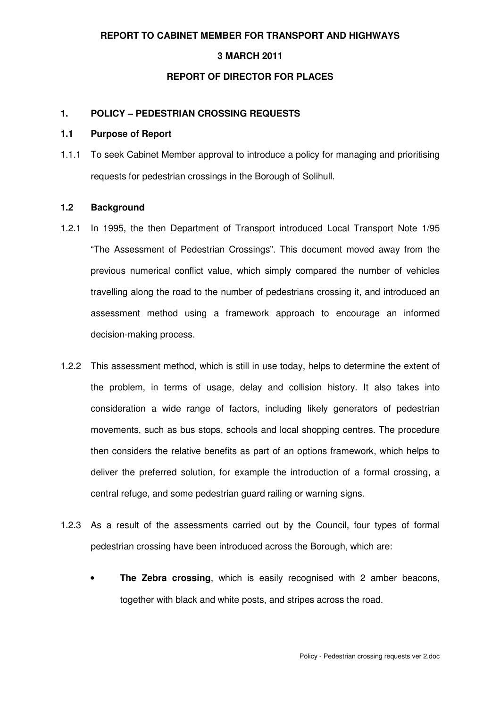## **REPORT TO CABINET MEMBER FOR TRANSPORT AND HIGHWAYS**

### **3 MARCH 2011**

#### **REPORT OF DIRECTOR FOR PLACES**

## **1. POLICY – PEDESTRIAN CROSSING REQUESTS**

### **1.1 Purpose of Report**

1.1.1 To seek Cabinet Member approval to introduce a policy for managing and prioritising requests for pedestrian crossings in the Borough of Solihull.

## **1.2 Background**

- 1.2.1 In 1995, the then Department of Transport introduced Local Transport Note 1/95 "The Assessment of Pedestrian Crossings". This document moved away from the previous numerical conflict value, which simply compared the number of vehicles travelling along the road to the number of pedestrians crossing it, and introduced an assessment method using a framework approach to encourage an informed decision-making process.
- 1.2.2 This assessment method, which is still in use today, helps to determine the extent of the problem, in terms of usage, delay and collision history. It also takes into consideration a wide range of factors, including likely generators of pedestrian movements, such as bus stops, schools and local shopping centres. The procedure then considers the relative benefits as part of an options framework, which helps to deliver the preferred solution, for example the introduction of a formal crossing, a central refuge, and some pedestrian guard railing or warning signs.
- 1.2.3 As a result of the assessments carried out by the Council, four types of formal pedestrian crossing have been introduced across the Borough, which are:
	- **The Zebra crossing**, which is easily recognised with 2 amber beacons, together with black and white posts, and stripes across the road.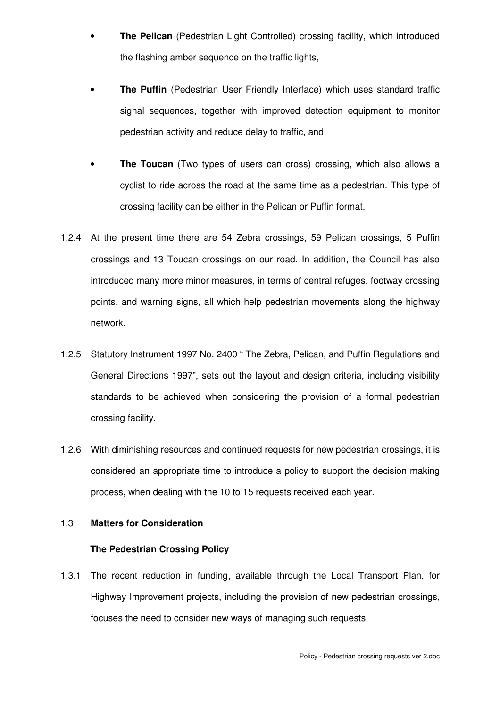- **The Pelican** (Pedestrian Light Controlled) crossing facility, which introduced the flashing amber sequence on the traffic lights,
- **The Puffin** (Pedestrian User Friendly Interface) which uses standard traffic signal sequences, together with improved detection equipment to monitor pedestrian activity and reduce delay to traffic, and
- **The Toucan** (Two types of users can cross) crossing, which also allows a cyclist to ride across the road at the same time as a pedestrian. This type of crossing facility can be either in the Pelican or Puffin format.
- 1.2.4 At the present time there are 54 Zebra crossings, 59 Pelican crossings, 5 Puffin crossings and 13 Toucan crossings on our road. In addition, the Council has also introduced many more minor measures, in terms of central refuges, footway crossing points, and warning signs, all which help pedestrian movements along the highway network.
- 1.2.5 Statutory Instrument 1997 No. 2400 " The Zebra, Pelican, and Puffin Regulations and General Directions 1997", sets out the layout and design criteria, including visibility standards to be achieved when considering the provision of a formal pedestrian crossing facility.
- 1.2.6 With diminishing resources and continued requests for new pedestrian crossings, it is considered an appropriate time to introduce a policy to support the decision making process, when dealing with the 10 to 15 requests received each year.

## 1.3 **Matters for Consideration**

### **The Pedestrian Crossing Policy**

1.3.1 The recent reduction in funding, available through the Local Transport Plan, for Highway Improvement projects, including the provision of new pedestrian crossings, focuses the need to consider new ways of managing such requests.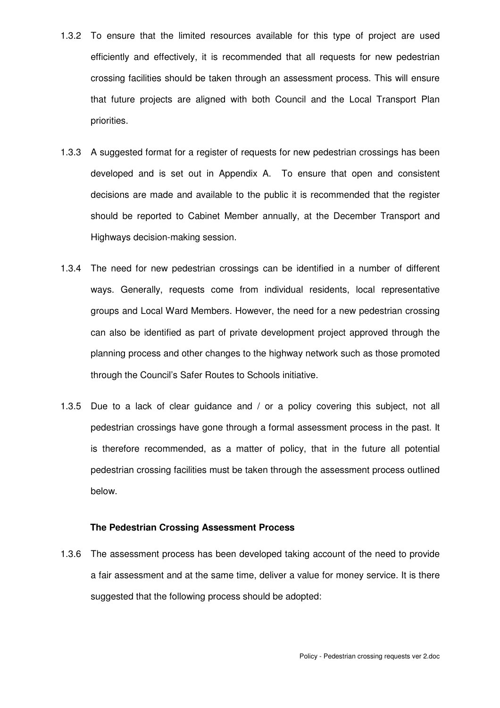- 1.3.2 To ensure that the limited resources available for this type of project are used efficiently and effectively, it is recommended that all requests for new pedestrian crossing facilities should be taken through an assessment process. This will ensure that future projects are aligned with both Council and the Local Transport Plan priorities.
- 1.3.3 A suggested format for a register of requests for new pedestrian crossings has been developed and is set out in Appendix A. To ensure that open and consistent decisions are made and available to the public it is recommended that the register should be reported to Cabinet Member annually, at the December Transport and Highways decision-making session.
- 1.3.4 The need for new pedestrian crossings can be identified in a number of different ways. Generally, requests come from individual residents, local representative groups and Local Ward Members. However, the need for a new pedestrian crossing can also be identified as part of private development project approved through the planning process and other changes to the highway network such as those promoted through the Council's Safer Routes to Schools initiative.
- 1.3.5 Due to a lack of clear guidance and / or a policy covering this subject, not all pedestrian crossings have gone through a formal assessment process in the past. It is therefore recommended, as a matter of policy, that in the future all potential pedestrian crossing facilities must be taken through the assessment process outlined below.

## **The Pedestrian Crossing Assessment Process**

1.3.6 The assessment process has been developed taking account of the need to provide a fair assessment and at the same time, deliver a value for money service. It is there suggested that the following process should be adopted: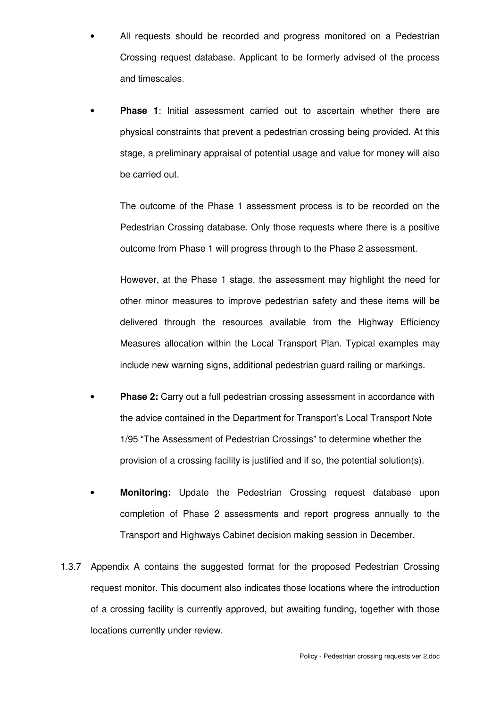- All requests should be recorded and progress monitored on a Pedestrian Crossing request database. Applicant to be formerly advised of the process and timescales.
- **Phase 1**: Initial assessment carried out to ascertain whether there are physical constraints that prevent a pedestrian crossing being provided. At this stage, a preliminary appraisal of potential usage and value for money will also be carried out.

The outcome of the Phase 1 assessment process is to be recorded on the Pedestrian Crossing database. Only those requests where there is a positive outcome from Phase 1 will progress through to the Phase 2 assessment.

However, at the Phase 1 stage, the assessment may highlight the need for other minor measures to improve pedestrian safety and these items will be delivered through the resources available from the Highway Efficiency Measures allocation within the Local Transport Plan. Typical examples may include new warning signs, additional pedestrian guard railing or markings.

- **Phase 2:** Carry out a full pedestrian crossing assessment in accordance with the advice contained in the Department for Transport's Local Transport Note 1/95 "The Assessment of Pedestrian Crossings" to determine whether the provision of a crossing facility is justified and if so, the potential solution(s).
- **Monitoring:** Update the Pedestrian Crossing request database upon completion of Phase 2 assessments and report progress annually to the Transport and Highways Cabinet decision making session in December.
- 1.3.7 Appendix A contains the suggested format for the proposed Pedestrian Crossing request monitor. This document also indicates those locations where the introduction of a crossing facility is currently approved, but awaiting funding, together with those locations currently under review.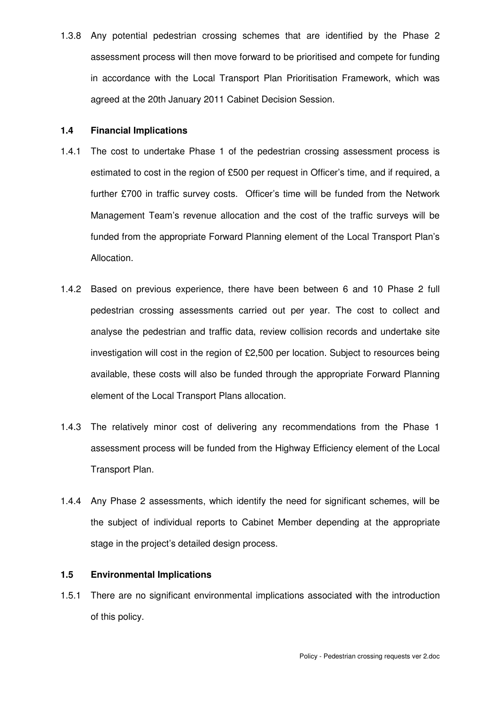1.3.8 Any potential pedestrian crossing schemes that are identified by the Phase 2 assessment process will then move forward to be prioritised and compete for funding in accordance with the Local Transport Plan Prioritisation Framework, which was agreed at the 20th January 2011 Cabinet Decision Session.

## **1.4 Financial Implications**

- 1.4.1 The cost to undertake Phase 1 of the pedestrian crossing assessment process is estimated to cost in the region of £500 per request in Officer's time, and if required, a further £700 in traffic survey costs. Officer's time will be funded from the Network Management Team's revenue allocation and the cost of the traffic surveys will be funded from the appropriate Forward Planning element of the Local Transport Plan's Allocation.
- 1.4.2 Based on previous experience, there have been between 6 and 10 Phase 2 full pedestrian crossing assessments carried out per year. The cost to collect and analyse the pedestrian and traffic data, review collision records and undertake site investigation will cost in the region of £2,500 per location. Subject to resources being available, these costs will also be funded through the appropriate Forward Planning element of the Local Transport Plans allocation.
- 1.4.3 The relatively minor cost of delivering any recommendations from the Phase 1 assessment process will be funded from the Highway Efficiency element of the Local Transport Plan.
- 1.4.4 Any Phase 2 assessments, which identify the need for significant schemes, will be the subject of individual reports to Cabinet Member depending at the appropriate stage in the project's detailed design process.

# **1.5 Environmental Implications**

1.5.1 There are no significant environmental implications associated with the introduction of this policy.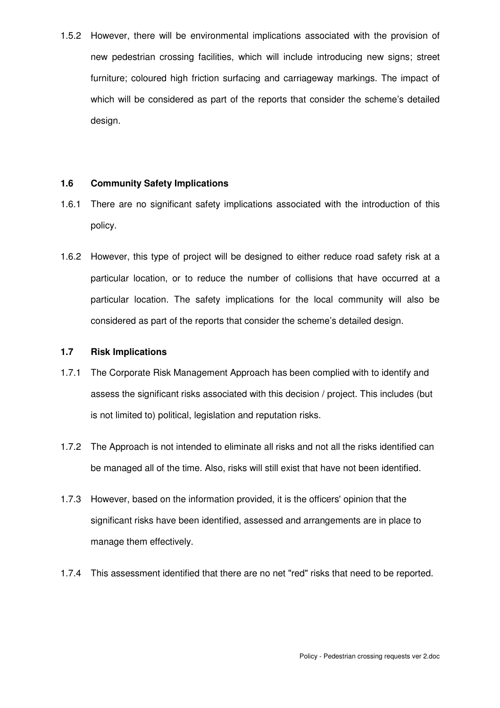1.5.2 However, there will be environmental implications associated with the provision of new pedestrian crossing facilities, which will include introducing new signs; street furniture; coloured high friction surfacing and carriageway markings. The impact of which will be considered as part of the reports that consider the scheme's detailed design.

## **1.6 Community Safety Implications**

- 1.6.1 There are no significant safety implications associated with the introduction of this policy.
- 1.6.2 However, this type of project will be designed to either reduce road safety risk at a particular location, or to reduce the number of collisions that have occurred at a particular location. The safety implications for the local community will also be considered as part of the reports that consider the scheme's detailed design.

# **1.7 Risk Implications**

- 1.7.1 The Corporate Risk Management Approach has been complied with to identify and assess the significant risks associated with this decision / project. This includes (but is not limited to) political, legislation and reputation risks.
- 1.7.2 The Approach is not intended to eliminate all risks and not all the risks identified can be managed all of the time. Also, risks will still exist that have not been identified.
- 1.7.3 However, based on the information provided, it is the officers' opinion that the significant risks have been identified, assessed and arrangements are in place to manage them effectively.
- 1.7.4 This assessment identified that there are no net "red" risks that need to be reported.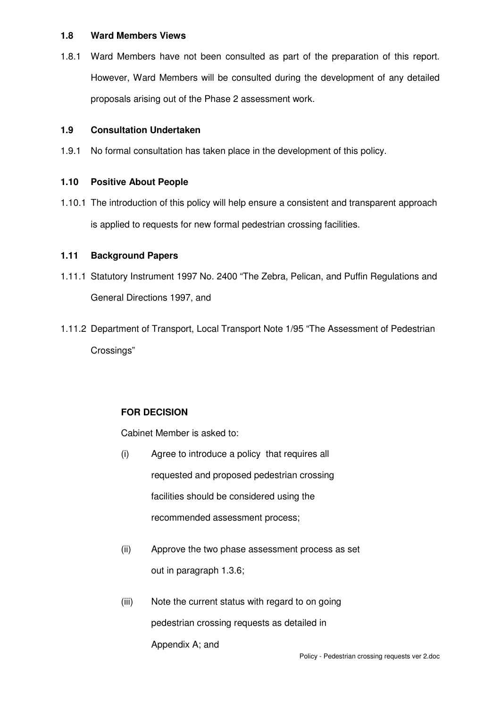## **1.8 Ward Members Views**

1.8.1 Ward Members have not been consulted as part of the preparation of this report. However, Ward Members will be consulted during the development of any detailed proposals arising out of the Phase 2 assessment work.

## **1.9 Consultation Undertaken**

1.9.1 No formal consultation has taken place in the development of this policy.

# **1.10 Positive About People**

1.10.1 The introduction of this policy will help ensure a consistent and transparent approach is applied to requests for new formal pedestrian crossing facilities.

## **1.11 Background Papers**

- 1.11.1 Statutory Instrument 1997 No. 2400 "The Zebra, Pelican, and Puffin Regulations and General Directions 1997, and
- 1.11.2 Department of Transport, Local Transport Note 1/95 "The Assessment of Pedestrian Crossings"

# **FOR DECISION**

Cabinet Member is asked to:

- (i) Agree to introduce a policy that requires all requested and proposed pedestrian crossing facilities should be considered using the recommended assessment process;
- (ii) Approve the two phase assessment process as set out in paragraph 1.3.6;
- (iii) Note the current status with regard to on going pedestrian crossing requests as detailed in Appendix A; and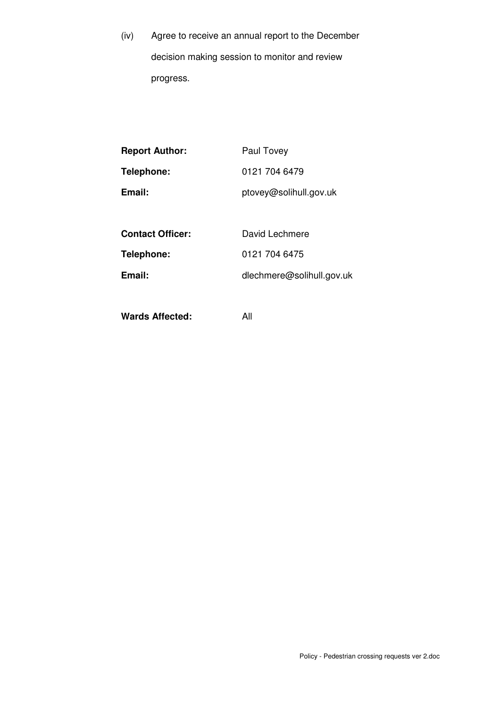(iv) Agree to receive an annual report to the December decision making session to monitor and review progress.

| <b>Report Author:</b>   | Paul Tovey                |
|-------------------------|---------------------------|
| Telephone:              | 0121 704 6479             |
| Email:                  | ptovey@solihull.gov.uk    |
|                         |                           |
| <b>Contact Officer:</b> | David Lechmere            |
| Telephone:              | 0121 704 6475             |
| Email:                  | dlechmere@solihull.gov.uk |
|                         |                           |

**Wards Affected:** All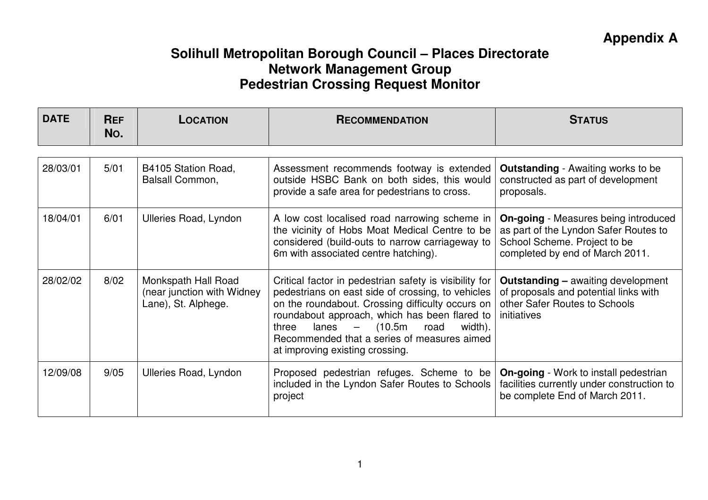| <b>DATE</b> | <b>REF</b><br>No. | <b>LOCATION</b>                                                          | <b>RECOMMENDATION</b>                                                                                                                                                                                                                                                                                                                                                         | <b>STATUS</b>                                                                                                                                           |
|-------------|-------------------|--------------------------------------------------------------------------|-------------------------------------------------------------------------------------------------------------------------------------------------------------------------------------------------------------------------------------------------------------------------------------------------------------------------------------------------------------------------------|---------------------------------------------------------------------------------------------------------------------------------------------------------|
|             |                   |                                                                          |                                                                                                                                                                                                                                                                                                                                                                               |                                                                                                                                                         |
| 28/03/01    | 5/01              | B4105 Station Road,<br>Balsall Common,                                   | Assessment recommends footway is extended<br>outside HSBC Bank on both sides, this would<br>provide a safe area for pedestrians to cross.                                                                                                                                                                                                                                     | <b>Outstanding</b> - Awaiting works to be<br>constructed as part of development<br>proposals.                                                           |
| 18/04/01    | 6/01              | <b>Ulleries Road, Lyndon</b>                                             | A low cost localised road narrowing scheme in<br>the vicinity of Hobs Moat Medical Centre to be<br>considered (build-outs to narrow carriageway to<br>6m with associated centre hatching).                                                                                                                                                                                    | <b>On-going</b> - Measures being introduced<br>as part of the Lyndon Safer Routes to<br>School Scheme. Project to be<br>completed by end of March 2011. |
| 28/02/02    | 8/02              | Monkspath Hall Road<br>(near junction with Widney<br>Lane), St. Alphege. | Critical factor in pedestrian safety is visibility for<br>pedestrians on east side of crossing, to vehicles<br>on the roundabout. Crossing difficulty occurs on<br>roundabout approach, which has been flared to<br>(10.5m<br>lanes<br>$\overline{\phantom{0}}$<br>road<br>width).<br>three<br>Recommended that a series of measures aimed<br>at improving existing crossing. | <b>Outstanding - awaiting development</b><br>of proposals and potential links with<br>other Safer Routes to Schools<br>initiatives                      |
| 12/09/08    | 9/05              | <b>Ulleries Road, Lyndon</b>                                             | Proposed pedestrian refuges. Scheme to be<br>included in the Lyndon Safer Routes to Schools<br>project                                                                                                                                                                                                                                                                        | <b>On-going</b> - Work to install pedestrian<br>facilities currently under construction to<br>be complete End of March 2011.                            |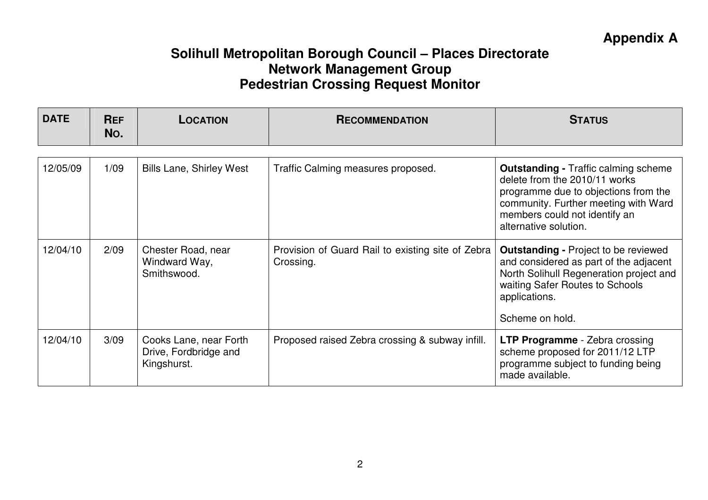| <b>DATE</b> | <b>REF</b><br>No. | LOCATION                                                       | <b>RECOMMENDATION</b>                                          | <b>STATUS</b>                                                                                                                                                                                           |
|-------------|-------------------|----------------------------------------------------------------|----------------------------------------------------------------|---------------------------------------------------------------------------------------------------------------------------------------------------------------------------------------------------------|
| 12/05/09    | 1/09              | <b>Bills Lane, Shirley West</b>                                | Traffic Calming measures proposed.                             | <b>Outstanding - Traffic calming scheme</b>                                                                                                                                                             |
|             |                   |                                                                |                                                                | delete from the 2010/11 works<br>programme due to objections from the<br>community. Further meeting with Ward<br>members could not identify an<br>alternative solution.                                 |
| 12/04/10    | 2/09              | Chester Road, near<br>Windward Way,<br>Smithswood.             | Provision of Guard Rail to existing site of Zebra<br>Crossing. | <b>Outstanding - Project to be reviewed</b><br>and considered as part of the adjacent<br>North Solihull Regeneration project and<br>waiting Safer Routes to Schools<br>applications.<br>Scheme on hold. |
| 12/04/10    | 3/09              | Cooks Lane, near Forth<br>Drive, Fordbridge and<br>Kingshurst. | Proposed raised Zebra crossing & subway infill.                | <b>LTP Programme</b> - Zebra crossing<br>scheme proposed for 2011/12 LTP<br>programme subject to funding being<br>made available.                                                                       |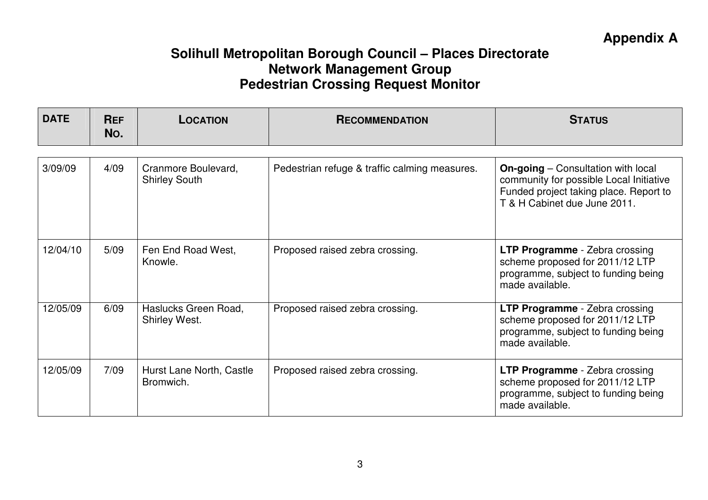| <b>DATE</b> | <b>REF</b><br>No. | <b>LOCATION</b>                             | <b>RECOMMENDATION</b>                         | <b>STATUS</b>                                                                                                                                                  |
|-------------|-------------------|---------------------------------------------|-----------------------------------------------|----------------------------------------------------------------------------------------------------------------------------------------------------------------|
| 3/09/09     | 4/09              | Cranmore Boulevard,<br><b>Shirley South</b> | Pedestrian refuge & traffic calming measures. | <b>On-going</b> – Consultation with local<br>community for possible Local Initiative<br>Funded project taking place. Report to<br>T & H Cabinet due June 2011. |
| 12/04/10    | 5/09              | Fen End Road West,<br>Knowle.               | Proposed raised zebra crossing.               | <b>LTP Programme</b> - Zebra crossing<br>scheme proposed for 2011/12 LTP<br>programme, subject to funding being<br>made available.                             |
| 12/05/09    | 6/09              | Haslucks Green Road,<br>Shirley West.       | Proposed raised zebra crossing.               | <b>LTP Programme</b> - Zebra crossing<br>scheme proposed for 2011/12 LTP<br>programme, subject to funding being<br>made available.                             |
| 12/05/09    | 7/09              | Hurst Lane North, Castle<br>Bromwich.       | Proposed raised zebra crossing.               | <b>LTP Programme</b> - Zebra crossing<br>scheme proposed for 2011/12 LTP<br>programme, subject to funding being<br>made available.                             |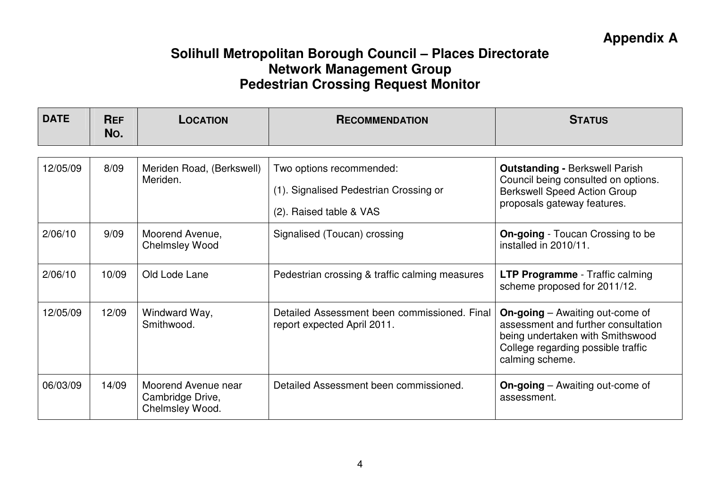| <b>DATE</b> | <b>REF</b><br>No. | <b>LOCATION</b>                                            | <b>RECOMMENDATION</b>                                                                         | <b>STATUS</b>                                                                                                                                                              |
|-------------|-------------------|------------------------------------------------------------|-----------------------------------------------------------------------------------------------|----------------------------------------------------------------------------------------------------------------------------------------------------------------------------|
| 12/05/09    | 8/09              | Meriden Road, (Berkswell)<br>Meriden.                      | Two options recommended:<br>(1). Signalised Pedestrian Crossing or<br>(2). Raised table & VAS | <b>Outstanding - Berkswell Parish</b><br>Council being consulted on options.<br><b>Berkswell Speed Action Group</b><br>proposals gateway features.                         |
| 2/06/10     | 9/09              | Moorend Avenue,<br><b>Chelmsley Wood</b>                   | Signalised (Toucan) crossing                                                                  | <b>On-going</b> - Toucan Crossing to be<br>installed in 2010/11.                                                                                                           |
| 2/06/10     | 10/09             | Old Lode Lane                                              | Pedestrian crossing & traffic calming measures                                                | <b>LTP Programme</b> - Traffic calming<br>scheme proposed for 2011/12.                                                                                                     |
| 12/05/09    | 12/09             | Windward Way,<br>Smithwood.                                | Detailed Assessment been commissioned. Final<br>report expected April 2011.                   | <b>On-going</b> – Awaiting out-come of<br>assessment and further consultation<br>being undertaken with Smithswood<br>College regarding possible traffic<br>calming scheme. |
| 06/03/09    | 14/09             | Moorend Avenue near<br>Cambridge Drive,<br>Chelmsley Wood. | Detailed Assessment been commissioned.                                                        | <b>On-going</b> – Awaiting out-come of<br>assessment.                                                                                                                      |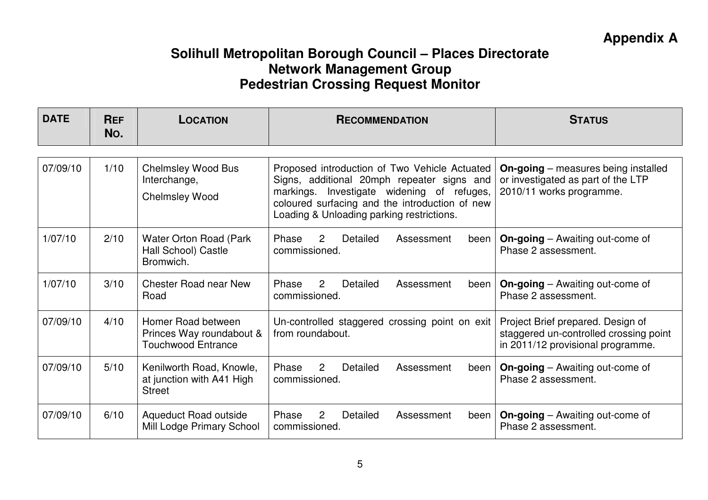| <b>DATE</b> | <b>REF</b><br>No. | <b>LOCATION</b>                                                             | <b>RECOMMENDATION</b>                                                                                                                                                                                                                    | <b>STATUS</b>                                                                                                    |
|-------------|-------------------|-----------------------------------------------------------------------------|------------------------------------------------------------------------------------------------------------------------------------------------------------------------------------------------------------------------------------------|------------------------------------------------------------------------------------------------------------------|
|             |                   |                                                                             |                                                                                                                                                                                                                                          |                                                                                                                  |
| 07/09/10    | 1/10              | <b>Chelmsley Wood Bus</b><br>Interchange,<br><b>Chelmsley Wood</b>          | Proposed introduction of Two Vehicle Actuated<br>Signs, additional 20mph repeater signs and<br>markings. Investigate widening of refuges,<br>coloured surfacing and the introduction of new<br>Loading & Unloading parking restrictions. | <b>On-going</b> – measures being installed<br>or investigated as part of the LTP<br>2010/11 works programme.     |
| 1/07/10     | 2/10              | Water Orton Road (Park<br>Hall School) Castle<br>Bromwich.                  | Detailed<br>Phase<br>$\overline{2}$<br>Assessment<br>been  <br>commissioned.                                                                                                                                                             | <b>On-going</b> – Awaiting out-come of<br>Phase 2 assessment.                                                    |
| 1/07/10     | 3/10              | <b>Chester Road near New</b><br>Road                                        | Phase<br>$\overline{2}$<br>Detailed<br>Assessment<br>been  <br>commissioned.                                                                                                                                                             | <b>On-going</b> – Awaiting out-come of<br>Phase 2 assessment.                                                    |
| 07/09/10    | 4/10              | Homer Road between<br>Princes Way roundabout &<br><b>Touchwood Entrance</b> | Un-controlled staggered crossing point on exit<br>from roundabout.                                                                                                                                                                       | Project Brief prepared. Design of<br>staggered un-controlled crossing point<br>in 2011/12 provisional programme. |
| 07/09/10    | 5/10              | Kenilworth Road, Knowle,<br>at junction with A41 High<br><b>Street</b>      | 2<br>Phase<br>Detailed<br>Assessment<br>been<br>commissioned.                                                                                                                                                                            | <b>On-going</b> – Awaiting out-come of<br>Phase 2 assessment.                                                    |
| 07/09/10    | 6/10              | <b>Aqueduct Road outside</b><br>Mill Lodge Primary School                   | 2<br>Phase<br>Detailed<br>Assessment<br>been  <br>commissioned.                                                                                                                                                                          | <b>On-going</b> – Awaiting out-come of<br>Phase 2 assessment.                                                    |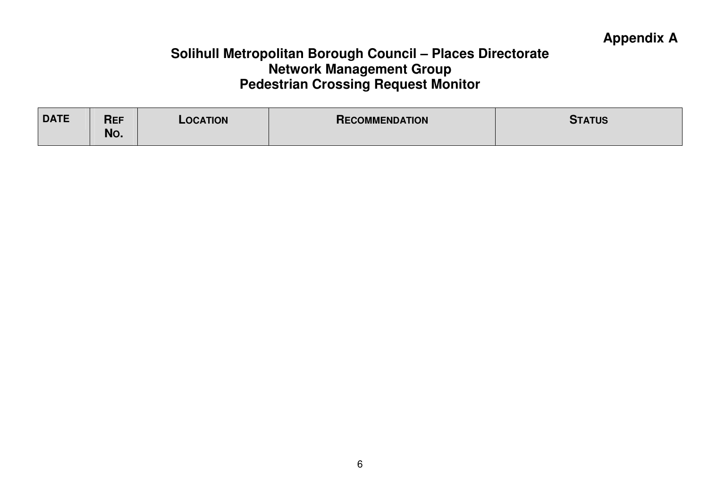| <b>DATE</b> | <b>REF</b><br>No. | LOCATION | <b>RECOMMENDATION</b> | <b>STATUS</b> |
|-------------|-------------------|----------|-----------------------|---------------|
|             |                   |          |                       |               |